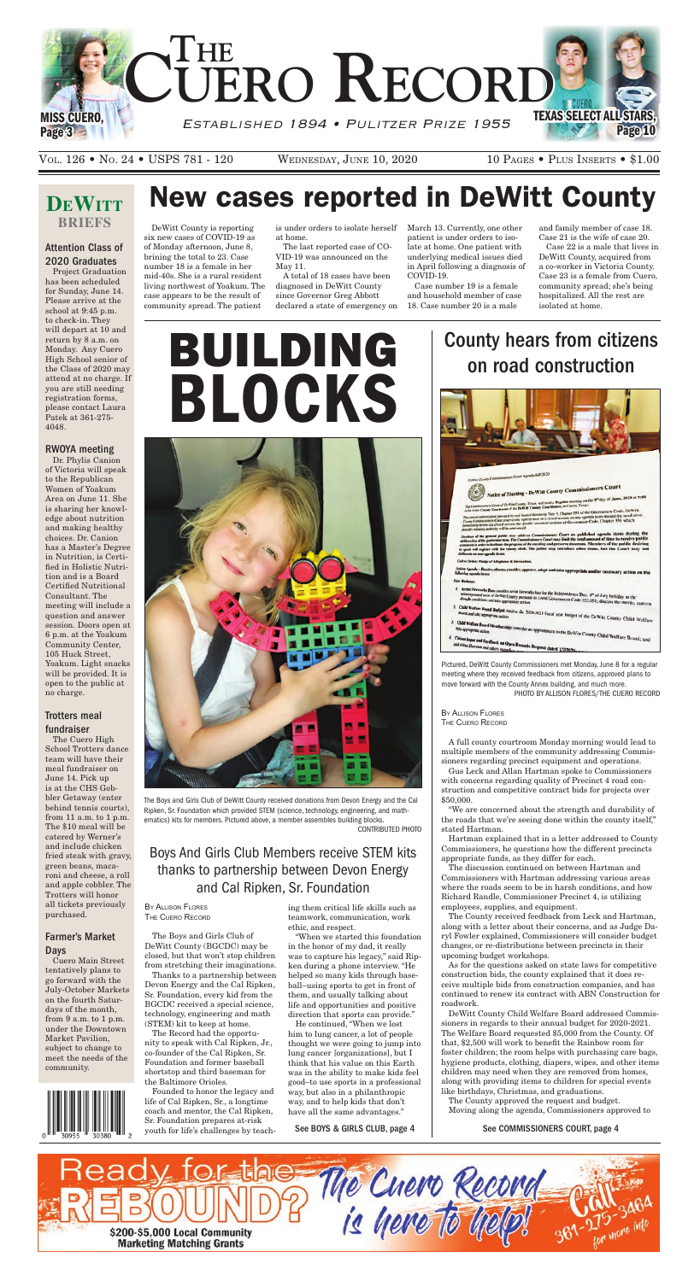# **DEWITT briefs**



VOL. 126 • NO. 24 • USPS 781 - 120 WEDNESDAY, JUNE 10, 2020 10 PAGES • PLUS INSERTS • \$1.00

# Attention Class of 2020 Graduates

Project Graduation has been scheduled for Sunday, June 14. Please arrive at the school at 9:45 p.m. to check-in. They will depart at 10 and return by 8 a.m. on Monday. Any Cuero High School senior of the Class of 2020 may attend at no charge. If you are still needing registration forms, please contact Laura Patek at 361-275- 4048.

### RWOYA meeting

Dr. Phylis Canion of Victoria will speak to the Republican Women of Yoakum Area on June 11. She is sharing her knowledge about nutrition and making healthy choices. Dr. Canion has a Master's Degree in Nutrition, is Certified in Holistic Nutrition and is a Board Certified Nutritional Consultant. The meeting will include a question and answer session. Doors open at 6 p.m. at the Yoakum Community Center, 105 Huck Street, Yoakum. Light snacks will be provided. It is open to the public at no charge.

## Trotters meal fundraiser

The Cuero High School Trotters dance

team will have their meal fundraiser on June 14. Pick up is at the CHS Gobbler Getaway (enter behind tennis courts), from 11 a.m. to 1 p.m. The \$10 meal will be catered by Werner's and include chicken fried steak with gravy, green beans, macaroni and cheese, a roll and apple cobbler. The Trotters will honor all tickets previously purchased.

### Farmer's Market Days

Cuero Main Street tentatively plans to go forward with the July-October Markets on the fourth Saturdays of the month, from 9 a.m. to 1 p.m. under the Downtown Market Pavilion, subject to change to meet the needs of the community.



# New cases reported in DeWitt County

DeWitt County is reporting six new cases of COVID-19 as of Monday afternoon, June 8, brining the total to 23. Case number 18 is a female in her mid-40s. She is a rural resident living northwest of Yoakum. The case appears to be the result of community spread. The patient

is under orders to isolate herself at home.

The last reported case of CO-VID-19 was announced on the May 11.

A total of 18 cases have been diagnosed in DeWitt County since Governor Greg Abbott declared a state of emergency on March 13. Currently, one other patient is under orders to isolate at home. One patient with underlying medical issues died in April following a diagnosis of COVID-19.

Case number 19 is a female and household member of case 18. Case number 20 is a male

and family member of case 18. Case 21 is the wife of case 20.

Case 22 is a male that lives in DeWitt County, acquired from a co-worker in Victoria County. Case 23 is a female from Cuero, community spread; she's being hospitalized. All the rest are isolated at home.

The Boys and Girls Club of DeWitt County received donations from Devon Energy and the Cal Ripken, Sr. Foundation which provided STEM (science, technology, engineering, and mathematics) kits for members. Pictured above, a member assembles building blocks. CONTRIBUTED PHOTO

By Allison Flores The Cuero Record

The Boys and Girls Club of DeWitt County (BGCDC) may be closed, but that won't stop children from stretching their imaginations.

Thanks to a partnership between Devon Energy and the Cal Ripken, Sr. Foundation, every kid from the BGCDC received a special science, technology, engineering and math (STEM) kit to keep at home.

The Record had the opportunity to speak with Cal Ripken, Jr., co-founder of the Cal Ripken, Sr. Foundation and former baseball shortstop and third baseman for the Baltimore Orioles.

Founded to honor the legacy and life of Cal Ripken, Sr., a longtime coach and mentor, the Cal Ripken, Sr. Foundation prepares at-risk youth for life's challenges by teaching them critical life skills such as teamwork, communication, work ethic, and respect.

"When we started this foundation in the honor of my dad, it really was to capture his legacy," said Ripken during a phone interview. "He helped so many kids through baseball–using sports to get in front of them, and usually talking about life and opportunities and positive direction that sports can provide."

He continued, "When we lost him to lung cancer, a lot of people thought we were going to jump into lung cancer [organizations], but I think that his value on this Earth was in the ability to make kids feel good–to use sports in a professional way, but also in a philanthropic way, and to help kids that don't have all the same advantages."

# BUILDING BLOCKS



# Boys And Girls Club Members receive STEM kits thanks to partnership between Devon Energy and Cal Ripken, Sr. Foundation



move forward with the County Annex building, and much more. PHOTO BY ALLISON FLORES/THE CUERO RECORD

By Allison Flores The Cuero Record

A full county courtroom Monday morning would lead to multiple members of the community addressing Commissioners regarding precinct equipment and operations. Gus Leck and Allan Hartman spoke to Commissioners with concerns regarding quality of Precinct 4 road construction and competitive contract bids for projects over \$50,000. "We are concerned about the strength and durability of the roads that we're seeing done within the county itself," stated Hartman. Hartman explained that in a letter addressed to County Commissioners, he questions how the different precincts appropriate funds, as they differ for each. The discussion continued on between Hartman and Commissioners with Hartman addressing various areas where the roads seem to be in harsh conditions, and how Richard Randle, Commissioner Precinct 4, is utilizing employees, supplies, and equipment. The County received feedback from Leck and Hartman, along with a letter about their concerns, and as Judge Daryl Fowler explained, Commissioners will consider budget changes, or re-distributions between precincts in their upcoming budget workshops. As for the questions asked on state laws for competitive construction bids, the county explained that it does receive multiple bids from construction companies, and has continued to renew its contract with ABN Construction for roadwork. DeWitt County Child Welfare Board addressed Commissioners in regards to their annual budget for 2020-2021. The Welfare Board requested \$5,000 from the County. Of that, \$2,500 will work to benefit the Rainbow room for foster children; the room helps with purchasing care bags, hygiene products, clothing, diapers, wipes, and other items children may need when they are removed from homes, along with providing items to children for special events like birthdays, Christmas, and graduations.

The County approved the request and budget. Moving along the agenda, Commissioners approved to

#### See BOYS & GIRLS CLUB, page 4 See COMMISSIONERS COURT, page 4

# County hears from citizens on road construction